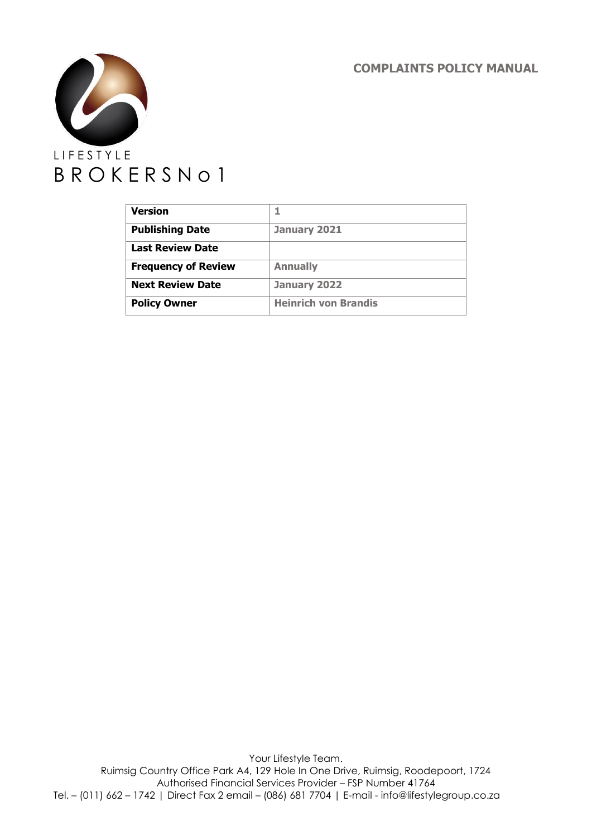**COMPLAINTS POLICY MANUAL**



| <b>Version</b>             |                             |
|----------------------------|-----------------------------|
| <b>Publishing Date</b>     | January 2021                |
| <b>Last Review Date</b>    |                             |
| <b>Frequency of Review</b> | <b>Annually</b>             |
| <b>Next Review Date</b>    | January 2022                |
| <b>Policy Owner</b>        | <b>Heinrich von Brandis</b> |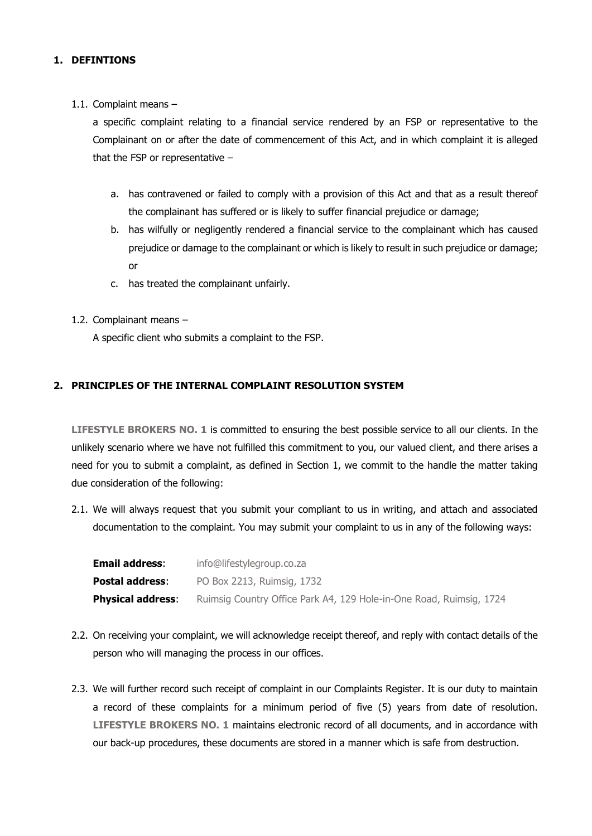### **1. DEFINTIONS**

1.1. Complaint means –

a specific complaint relating to a financial service rendered by an FSP or representative to the Complainant on or after the date of commencement of this Act, and in which complaint it is alleged that the FSP or representative –

- a. has contravened or failed to comply with a provision of this Act and that as a result thereof the complainant has suffered or is likely to suffer financial prejudice or damage;
- b. has wilfully or negligently rendered a financial service to the complainant which has caused prejudice or damage to the complainant or which is likely to result in such prejudice or damage; or
- c. has treated the complainant unfairly.
- 1.2. Complainant means –

A specific client who submits a complaint to the FSP.

## **2. PRINCIPLES OF THE INTERNAL COMPLAINT RESOLUTION SYSTEM**

**LIFESTYLE BROKERS NO. 1** is committed to ensuring the best possible service to all our clients. In the unlikely scenario where we have not fulfilled this commitment to you, our valued client, and there arises a need for you to submit a complaint, as defined in Section 1, we commit to the handle the matter taking due consideration of the following:

2.1. We will always request that you submit your compliant to us in writing, and attach and associated documentation to the complaint. You may submit your complaint to us in any of the following ways:

| <b>Email address:</b>    | info@lifestylegroup.co.za                                           |
|--------------------------|---------------------------------------------------------------------|
| Postal address:          | PO Box 2213, Ruimsig, 1732                                          |
| <b>Physical address:</b> | Ruimsig Country Office Park A4, 129 Hole-in-One Road, Ruimsig, 1724 |

- 2.2. On receiving your complaint, we will acknowledge receipt thereof, and reply with contact details of the person who will managing the process in our offices.
- 2.3. We will further record such receipt of complaint in our Complaints Register. It is our duty to maintain a record of these complaints for a minimum period of five (5) years from date of resolution. **LIFESTYLE BROKERS NO. 1** maintains electronic record of all documents, and in accordance with our back-up procedures, these documents are stored in a manner which is safe from destruction.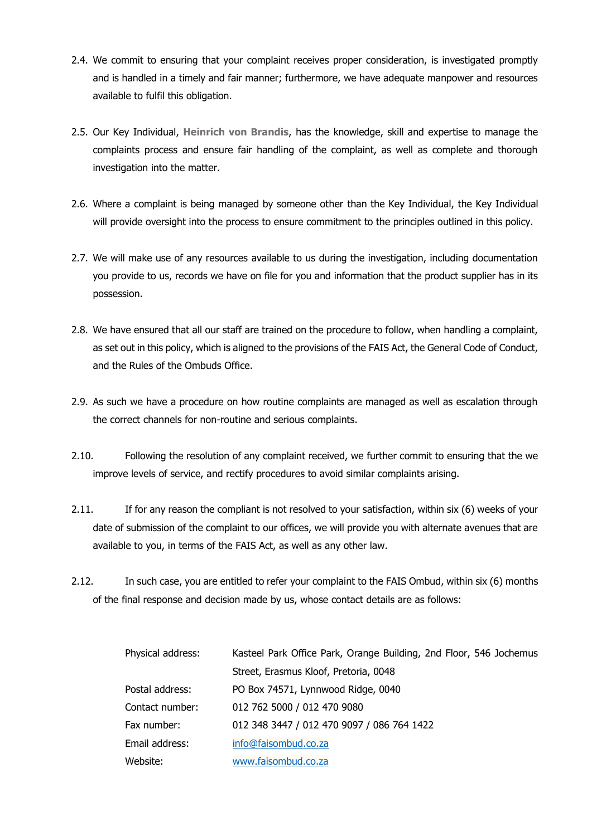- 2.4. We commit to ensuring that your complaint receives proper consideration, is investigated promptly and is handled in a timely and fair manner; furthermore, we have adequate manpower and resources available to fulfil this obligation.
- 2.5. Our Key Individual, **Heinrich von Brandis**, has the knowledge, skill and expertise to manage the complaints process and ensure fair handling of the complaint, as well as complete and thorough investigation into the matter.
- 2.6. Where a complaint is being managed by someone other than the Key Individual, the Key Individual will provide oversight into the process to ensure commitment to the principles outlined in this policy.
- 2.7. We will make use of any resources available to us during the investigation, including documentation you provide to us, records we have on file for you and information that the product supplier has in its possession.
- 2.8. We have ensured that all our staff are trained on the procedure to follow, when handling a complaint, as set out in this policy, which is aligned to the provisions of the FAIS Act, the General Code of Conduct, and the Rules of the Ombuds Office.
- 2.9. As such we have a procedure on how routine complaints are managed as well as escalation through the correct channels for non-routine and serious complaints.
- 2.10. Following the resolution of any complaint received, we further commit to ensuring that the we improve levels of service, and rectify procedures to avoid similar complaints arising.
- 2.11. If for any reason the compliant is not resolved to your satisfaction, within six (6) weeks of your date of submission of the complaint to our offices, we will provide you with alternate avenues that are available to you, in terms of the FAIS Act, as well as any other law.
- 2.12. In such case, you are entitled to refer your complaint to the FAIS Ombud, within six (6) months of the final response and decision made by us, whose contact details are as follows:

| Physical address: | Kasteel Park Office Park, Orange Building, 2nd Floor, 546 Jochemus |
|-------------------|--------------------------------------------------------------------|
|                   | Street, Erasmus Kloof, Pretoria, 0048                              |
| Postal address:   | PO Box 74571, Lynnwood Ridge, 0040                                 |
| Contact number:   | 012 762 5000 / 012 470 9080                                        |
| Fax number:       | 012 348 3447 / 012 470 9097 / 086 764 1422                         |
| Email address:    | info@faisombud.co.za                                               |
| Website:          | www.faisombud.co.za                                                |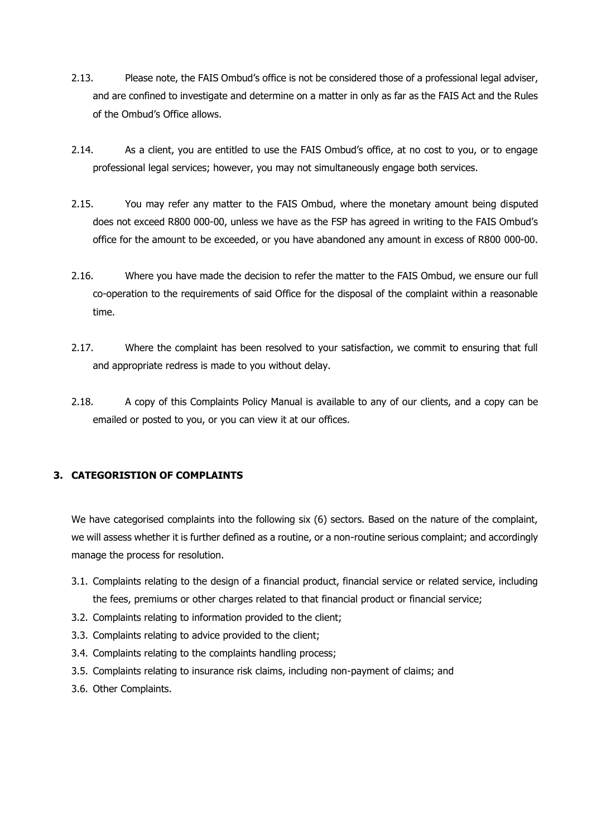- 2.13. Please note, the FAIS Ombud's office is not be considered those of a professional legal adviser, and are confined to investigate and determine on a matter in only as far as the FAIS Act and the Rules of the Ombud's Office allows.
- 2.14. As a client, you are entitled to use the FAIS Ombud's office, at no cost to you, or to engage professional legal services; however, you may not simultaneously engage both services.
- 2.15. You may refer any matter to the FAIS Ombud, where the monetary amount being disputed does not exceed R800 000-00, unless we have as the FSP has agreed in writing to the FAIS Ombud's office for the amount to be exceeded, or you have abandoned any amount in excess of R800 000-00.
- 2.16. Where you have made the decision to refer the matter to the FAIS Ombud, we ensure our full co-operation to the requirements of said Office for the disposal of the complaint within a reasonable time.
- 2.17. Where the complaint has been resolved to your satisfaction, we commit to ensuring that full and appropriate redress is made to you without delay.
- 2.18. A copy of this Complaints Policy Manual is available to any of our clients, and a copy can be emailed or posted to you, or you can view it at our offices.

## **3. CATEGORISTION OF COMPLAINTS**

We have categorised complaints into the following six (6) sectors. Based on the nature of the complaint, we will assess whether it is further defined as a routine, or a non-routine serious complaint; and accordingly manage the process for resolution.

- 3.1. Complaints relating to the design of a financial product, financial service or related service, including the fees, premiums or other charges related to that financial product or financial service;
- 3.2. Complaints relating to information provided to the client;
- 3.3. Complaints relating to advice provided to the client;
- 3.4. Complaints relating to the complaints handling process;
- 3.5. Complaints relating to insurance risk claims, including non-payment of claims; and
- 3.6. Other Complaints.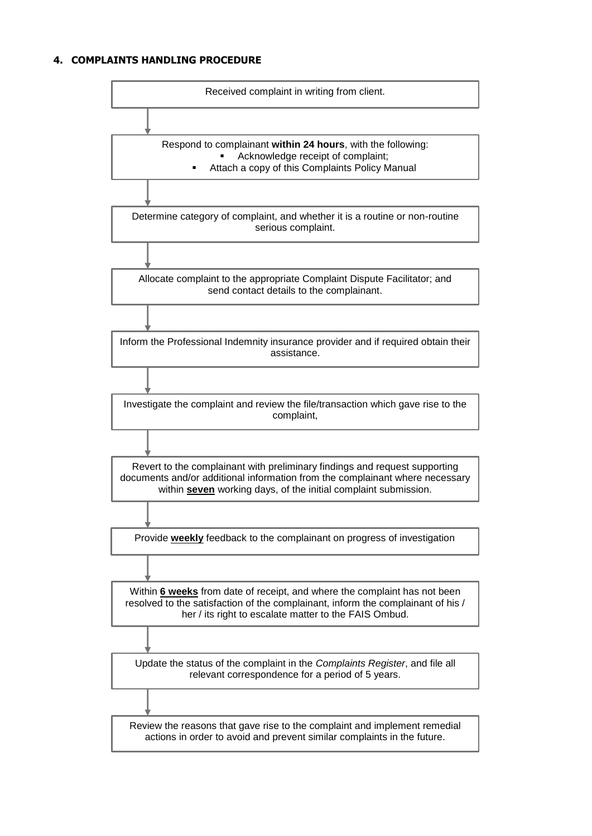### **4. COMPLAINTS HANDLING PROCEDURE**